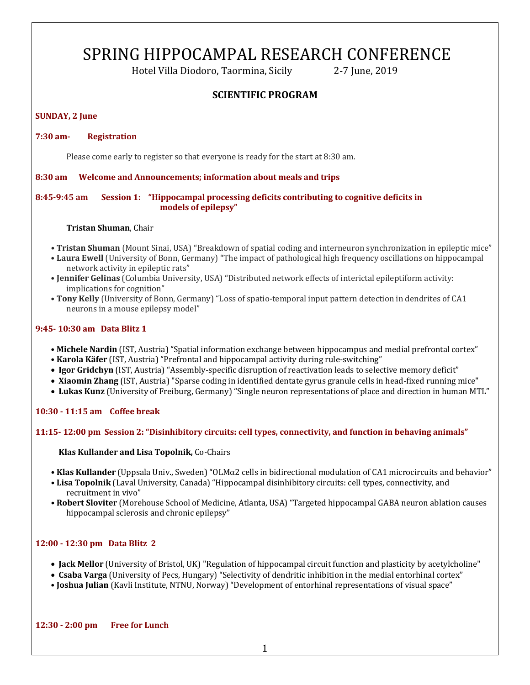# SPRING HIPPOCAMPAL RESEARCH CONFERENCE

Hotel Villa Diodoro, Taormina, Sicily **2-7** June, 2019

# **SCIENTIFIC PROGRAM**

## **SUNDAY, 2 June**

## **7:30 am- Registration**

Please come early to register so that everyone is ready for the start at 8:30 am.

#### **8:30 am** Welcome and Announcements; information about meals and trips

## **8:45-9:45 am Session 1: "Hippocampal processing deficits contributing to cognitive deficits in models of epilepsy"**

#### **Tristan Shuman**, Chair

- Tristan Shuman (Mount Sinai, USA) "Breakdown of spatial coding and interneuron synchronization in epileptic mice"
- **Laura Ewell** (University of Bonn, Germany) "The impact of pathological high frequency oscillations on hippocampal network activity in epileptic rats"
- **Jennifer Gelinas** (Columbia University, USA) "Distributed network effects of interictal epileptiform activity: implications for cognition"
- Tony Kelly (University of Bonn, Germany) "Loss of spatio-temporal input pattern detection in dendrites of CA1 neurons in a mouse epilepsy model"

## **9:45- 10:30 am Data Blitz 1**

- **Michele Nardin** (IST, Austria) "Spatial information exchange between hippocampus and medial prefrontal cortex"
- Karola Käfer (IST, Austria) "Prefrontal and hippocampal activity during rule-switching"
- **Igor Gridchyn** (IST, Austria) "Assembly-specific disruption of reactivation leads to selective memory deficit"
- **Xiaomin Zhang** (IST, Austria) "Sparse coding in identified dentate gyrus granule cells in head-fixed running mice"
- Lukas Kunz (University of Freiburg, Germany) "Single neuron representations of place and direction in human MTL"

**10:30 - 11:15 am Coffee break**

## **11:15- 12:00 pm Session 2: "Disinhibitory circuits: cell types, connectivity, and function in behaving animals"**

**Klas Kullander and Lisa Topolnik, Co-Chairs** 

- **Klas Kullander** (Uppsala Univ., Sweden) "OLMα2 cells in bidirectional modulation of CA1 microcircuits and behavior"
- Lisa Topolnik (Laval University, Canada) "Hippocampal disinhibitory circuits: cell types, connectivity, and recruitment in vivo"
- Robert Sloviter (Morehouse School of Medicine, Atlanta, USA) "Targeted hippocampal GABA neuron ablation causes hippocampal sclerosis and chronic epilepsy"

## **12:00 - 12:30 pm Data Blitz 2**

- **Jack Mellor** (University of Bristol, UK) "Regulation of hippocampal circuit function and plasticity by acetylcholine"
- **Csaba Varga** (University of Pecs, Hungary) "Selectivity of dendritic inhibition in the medial entorhinal cortex"
- **Joshua Julian** (Kavli Institute, NTNU, Norway) "Development of entorhinal representations of visual space"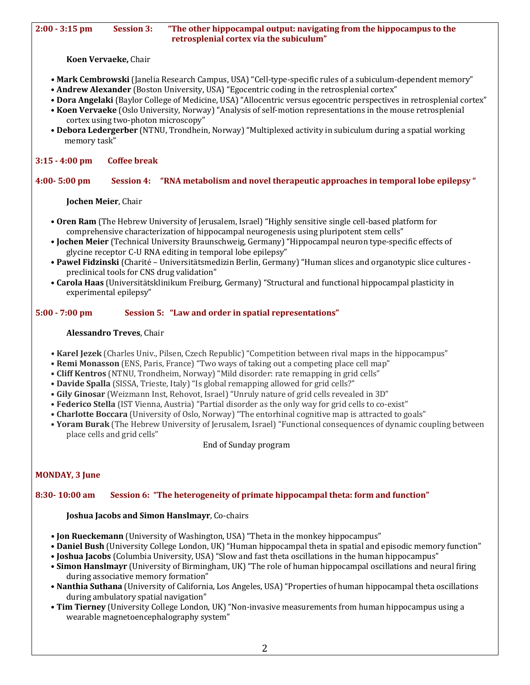#### **2:00 · 3:15 pm Session 3: The other hippocampal output: navigating from the hippocampus to the** retrosplenial cortex via the subiculum"

**Koen Vervaeke,** Chair

- Mark Cembrowski (Janelia Research Campus, USA) "Cell-type-specific rules of a subiculum-dependent memory"
- **Andrew Alexander** (Boston University, USA) "Egocentric coding in the retrosplenial cortex"
- **Dora Angelaki** (Baylor College of Medicine, USA) "Allocentric versus egocentric perspectives in retrosplenial cortex"
- Koen Vervaeke (Oslo University, Norway) "Analysis of self-motion representations in the mouse retrosplenial cortex using two-photon microscopy"
- **Debora Ledergerber** (NTNU, Trondhein, Norway) "Multiplexed activity in subiculum during a spatial working memory task"

## **3:15 - 4:00 pm Coffee break**

# **4:00- 5:00 pm Session 4: "RNA metabolism and novel therapeutic approaches in temporal lobe epilepsy "**

**Jochen Meier, Chair** 

- **Oren Ram** (The Hebrew University of Jerusalem, Israel) "Highly sensitive single cell-based platform for comprehensive characterization of hippocampal neurogenesis using pluripotent stem cells"
- **Jochen Meier** (Technical University Braunschweig, Germany) "Hippocampal neuron type-specific effects of glycine receptor C-U RNA editing in temporal lobe epilepsy"
- Pawel Fidzinski (Charité Universitätsmedizin Berlin, Germany) "Human slices and organotypic slice cultures preclinical tools for CNS drug validation"
- **Carola Haas** (Universitätsklinikum Freiburg, Germany) "Structural and functional hippocampal plasticity in experimental epilepsy"

## **5:00 - 7:00 pm Session 5: "Law and order in spatial representations"**

## **Alessandro Treves**, Chair

- **Karel Jezek** (Charles Univ., Pilsen, Czech Republic) "Competition between rival maps in the hippocampus"
- **Remi Monasson** (ENS, Paris, France) "Two ways of taking out a competing place cell map"
- **Cliff Kentros** (NTNU, Trondheim, Norway) "Mild disorder: rate remapping in grid cells"
- Davide Spalla (SISSA, Trieste, Italy) "Is global remapping allowed for grid cells?"
- Gily Ginosar (Weizmann Inst, Rehovot, Israel) "Unruly nature of grid cells revealed in 3D"
- **Federico Stella** (IST Vienna, Austria) "Partial disorder as the only way for grid cells to co-exist"
- Charlotte Boccara (University of Oslo, Norway) "The entorhinal cognitive map is attracted to goals"
- **Yoram Burak** (The Hebrew University of Jerusalem, Israel) "Functional consequences of dynamic coupling between place cells and grid cells"

End of Sunday program

# **MONDAY, 3 June**

## **8:30- 10:00 am Session 6: "The heterogeneity of primate hippocampal theta: form and function"**

## **Joshua Jacobs and Simon Hanslmayr, Co-chairs**

- **Jon Rueckemann** (University of Washington, USA) "Theta in the monkey hippocampus"
- **Daniel Bush** (University College London, UK) "Human hippocampal theta in spatial and episodic memory function"
- **Joshua Jacobs** (Columbia University, USA) "Slow and fast theta oscillations in the human hippocampus"
- **Simon Hanslmayr** (University of Birmingham, UK) "The role of human hippocampal oscillations and neural firing during associative memory formation"
- **Nanthia Suthana** (University of California, Los Angeles, USA) "Properties of human hippocampal theta oscillations during ambulatory spatial navigation"
- **Tim Tierney** (University College London, UK) "Non-invasive measurements from human hippocampus using a wearable magnetoencephalography system"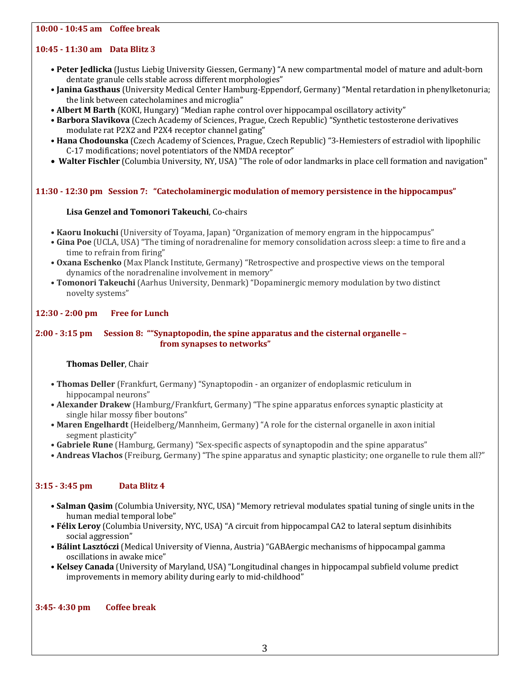## **10:00 - 10:45 am Coffee break**

#### **10:45 - 11:30 am Data Blitz 3**

- Peter Jedlicka (Justus Liebig University Giessen, Germany) "A new compartmental model of mature and adult-born dentate granule cells stable across different morphologies"
- Janina Gasthaus (University Medical Center Hamburg-Eppendorf, Germany) "Mental retardation in phenylketonuria; the link between catecholamines and microglia"
- Albert M Barth (KOKI, Hungary) "Median raphe control over hippocampal oscillatory activity"
- Barbora Slavikova (Czech Academy of Sciences, Prague, Czech Republic) "Synthetic testosterone derivatives modulate rat P2X2 and P2X4 receptor channel gating"
- Hana Chodounska (Czech Academy of Sciences, Prague, Czech Republic) "3-Hemiesters of estradiol with lipophilic C-17 modifications; novel potentiators of the NMDA receptor"
- Walter Fischler (Columbia University, NY, USA) "The role of odor landmarks in place cell formation and navigation"

#### **11:30 - 12:30 pm Session 7: "Catecholaminergic modulation of memory persistence in the hippocampus"**

#### **Lisa Genzel and Tomonori Takeuchi**, Co-chairs

- **Kaoru Inokuchi** (University of Toyama, Japan) "Organization of memory engram in the hippocampus"
- Gina Poe (UCLA, USA) "The timing of noradrenaline for memory consolidation across sleep: a time to fire and a time to refrain from firing"
- Oxana Eschenko (Max Planck Institute, Germany) "Retrospective and prospective views on the temporal dynamics of the noradrenaline involvement in memory"
- Tomonori Takeuchi (Aarhus University, Denmark) "Dopaminergic memory modulation by two distinct novelty systems"

#### **12:30 - 2:00 pm Free for Lunch**

#### **2:00 - 3:15 pm** Session 8: "Synaptopodin, the spine apparatus and the cisternal organelle – **from synapses to networks"**

#### **Thomas Deller, Chair**

- Thomas Deller (Frankfurt, Germany) "Synaptopodin an organizer of endoplasmic reticulum in hippocampal neurons"
- **Alexander Drakew** (Hamburg/Frankfurt, Germany) "The spine apparatus enforces synaptic plasticity at single hilar mossy fiber boutons"
- Maren Engelhardt (Heidelberg/Mannheim, Germany) "A role for the cisternal organelle in axon initial segment plasticity"
- Gabriele Rune (Hamburg, Germany) "Sex-specific aspects of synaptopodin and the spine apparatus"
- **Andreas Vlachos** (Freiburg, Germany) "The spine apparatus and synaptic plasticity; one organelle to rule them all?"

#### **3:15 - 3:45 pm Data Blitz 4**

- **Salman Qasim** (Columbia University, NYC, USA) "Memory retrieval modulates spatial tuning of single units in the human medial temporal lobe"
- Félix Leroy (Columbia University, NYC, USA) "A circuit from hippocampal CA2 to lateral septum disinhibits social aggression"
- Bálint Lasztóczi (Medical University of Vienna, Austria) "GABAergic mechanisms of hippocampal gamma oscillations in awake mice"
- Kelsey Canada (University of Maryland, USA) "Longitudinal changes in hippocampal subfield volume predict improvements in memory ability during early to mid-childhood"

#### **3:45- 4:30 pm Coffee break**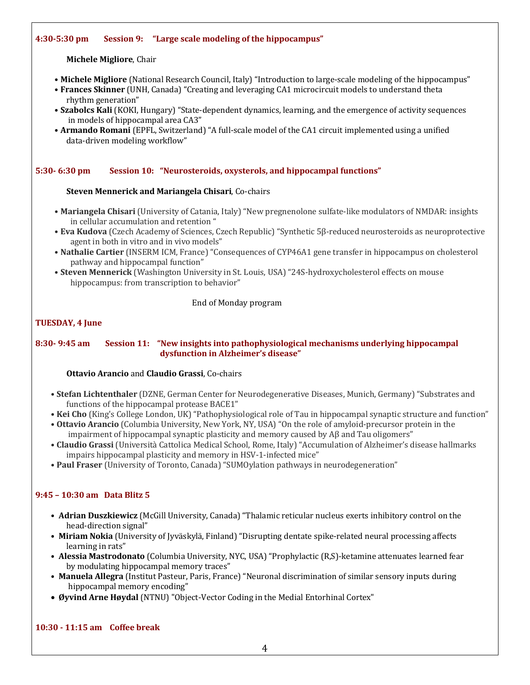#### **4:30-5:30 pm Session 9: "Large scale modeling of the hippocampus"**

**Michele Migliore, Chair** 

- **Michele Migliore** (National Research Council, Italy) "Introduction to large-scale modeling of the hippocampus"
- Frances Skinner (UNH, Canada) "Creating and leveraging CA1 microcircuit models to understand theta rhythm generation"
- Szabolcs Kali (KOKI, Hungary) "State-dependent dynamics, learning, and the emergence of activity sequences in models of hippocampal area CA3"
- **Armando Romani** (EPFL, Switzerland) "A full-scale model of the CA1 circuit implemented using a unified data-driven modeling workflow"

## **5:30- 6:30 pm Session 10: "Neurosteroids, oxysterols, and hippocampal functions"**

#### **Steven Mennerick and Mariangela Chisari**, Co-chairs

- **Mariangela Chisari** (University of Catania, Italy) "New pregnenolone sulfate-like modulators of NMDAR: insights in cellular accumulation and retention "
- Eva Kudova (Czech Academy of Sciences, Czech Republic) "Synthetic 5β-reduced neurosteroids as neuroprotective agent in both in vitro and in vivo models"
- Nathalie Cartier (INSERM ICM, France) "Consequences of CYP46A1 gene transfer in hippocampus on cholesterol pathway and hippocampal function"
- Steven Mennerick (Washington University in St. Louis, USA) "24S-hydroxycholesterol effects on mouse hippocampus: from transcription to behavior"

#### End of Monday program

#### **TUESDAY, 4 June**

#### **8:30- 9:45 am** Session 11: "New insights into pathophysiological mechanisms underlying hippocampal dysfunction in Alzheimer's disease"

#### **Ottavio Arancio** and **Claudio Grassi**, Co-chairs

- Stefan Lichtenthaler (DZNE, German Center for Neurodegenerative Diseases, Munich, Germany) "Substrates and functions of the hippocampal protease BACE1"
- Kei Cho (King's College London, UK) "Pathophysiological role of Tau in hippocampal synaptic structure and function"
- Ottavio Arancio (Columbia University, New York, NY, USA) "On the role of amyloid-precursor protein in the impairment of hippocampal synaptic plasticity and memory caused by  $A\beta$  and Tau oligomers"
- **Claudio Grassi** (Università Cattolica Medical School, Rome, Italy) "Accumulation of Alzheimer's disease hallmarks impairs hippocampal plasticity and memory in HSV-1-infected mice"
- **Paul Fraser** (University of Toronto, Canada) "SUMOylation pathways in neurodegeneration"

## **9:45 – 10:30 am Data Blitz 5**

- **Adrian Duszkiewicz** (McGill University, Canada) "Thalamic reticular nucleus exerts inhibitory control on the head-direction signal"
- Miriam Nokia (University of Jyväskylä, Finland) "Disrupting dentate spike-related neural processing affects learning in rats"
- Alessia Mastrodonato (Columbia University, NYC, USA) "Prophylactic (R,S)-ketamine attenuates learned fear by modulating hippocampal memory traces"
- Manuela Allegra (Institut Pasteur, Paris, France) "Neuronal discrimination of similar sensory inputs during hippocampal memory encoding"
- Øyvind Arne Høydal (NTNU) "Object-Vector Coding in the Medial Entorhinal Cortex"

## **10:30 - 11:15 am Coffee break**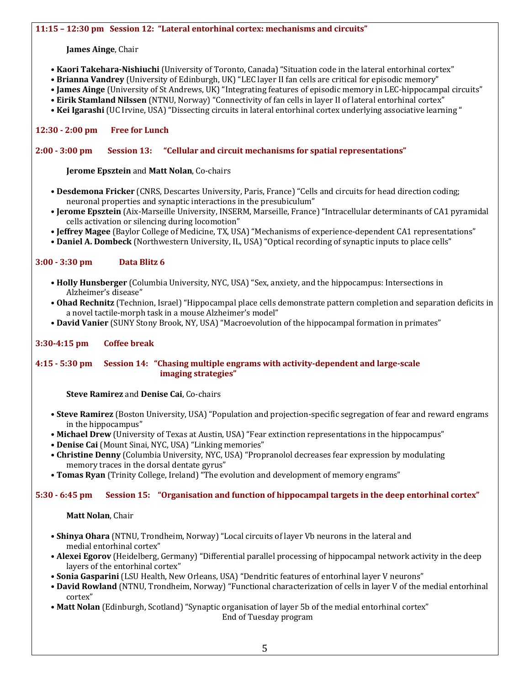#### **James Ainge, Chair**

- Kaori Takehara-Nishiuchi (University of Toronto, Canada) "Situation code in the lateral entorhinal cortex"
- **Brianna Vandrey** (University of Edinburgh, UK) "LEC layer II fan cells are critical for episodic memory"
- **James Ainge** (University of St Andrews, UK) "Integrating features of episodic memory in LEC-hippocampal circuits"
- Eirik Stamland Nilssen (NTNU, Norway) "Connectivity of fan cells in layer II of lateral entorhinal cortex"
- Kei Igarashi (UC Irvine, USA) "Dissecting circuits in lateral entorhinal cortex underlying associative learning "

## **12:30 - 2:00 pm Free for Lunch**

#### **2:00 - 3:00 pm Session 13: "Cellular and circuit mechanisms for spatial representations"**

#### **Jerome Epsztein and Matt Nolan, Co-chairs**

- **Desdemona Fricker** (CNRS, Descartes University, Paris, France) "Cells and circuits for head direction coding; neuronal properties and synaptic interactions in the presubiculum"
- **Jerome Epsztein** (Aix-Marseille University, INSERM, Marseille, France) "Intracellular determinants of CA1 pyramidal cells activation or silencing during locomotion"
- **Jeffrey Magee** (Baylor College of Medicine, TX, USA) "Mechanisms of experience-dependent CA1 representations"
- **Daniel A. Dombeck** (Northwestern University, IL, USA) "Optical recording of synaptic inputs to place cells"

## **3:00 - 3:30 pm Data Blitz 6**

- **Holly Hunsberger** (Columbia University, NYC, USA) "Sex, anxiety, and the hippocampus: Intersections in Alzheimer's disease"
- Ohad Rechnitz (Technion, Israel) "Hippocampal place cells demonstrate pattern completion and separation deficits in a novel tactile-morph task in a mouse Alzheimer's model"
- David Vanier (SUNY Stony Brook, NY, USA) "Macroevolution of the hippocampal formation in primates"

## **3:30-4:15 pm Coffee break**

#### **4:15 - 5:30 pm Session 14: "Chasing multiple engrams with activity-dependent and large-scale imaging strategies"**

**Steve Ramirez** and Denise Cai, Co-chairs

- Steve Ramirez (Boston University, USA) "Population and projection-specific segregation of fear and reward engrams in the hippocampus"
- **Michael Drew** (University of Texas at Austin, USA) "Fear extinction representations in the hippocampus"
- **Denise Cai** (Mount Sinai, NYC, USA) "Linking memories"
- Christine Denny (Columbia University, NYC, USA) "Propranolol decreases fear expression by modulating memory traces in the dorsal dentate gyrus"
- **Tomas Ryan** (Trinity College, Ireland) "The evolution and development of memory engrams"

## **5:30 - 6:45 pm Session 15: "Organisation and function of hippocampal targets in the deep entorhinal cortex"**

**Matt Nolan, Chair** 

- **Shinya Ohara** (NTNU, Trondheim, Norway) "Local circuits of layer Vb neurons in the lateral and medial entorhinal cortex"
- **Alexei Egorov** (Heidelberg, Germany) "Differential parallel processing of hippocampal network activity in the deep layers of the entorhinal cortex"
- **Sonia Gasparini** (LSU Health, New Orleans, USA) "Dendritic features of entorhinal layer V neurons"
- **David Rowland** (NTNU, Trondheim, Norway) "Functional characterization of cells in layer V of the medial entorhinal cortex"
- **Matt Nolan** (Edinburgh, Scotland) "Synaptic organisation of layer 5b of the medial entorhinal cortex"

End of Tuesday program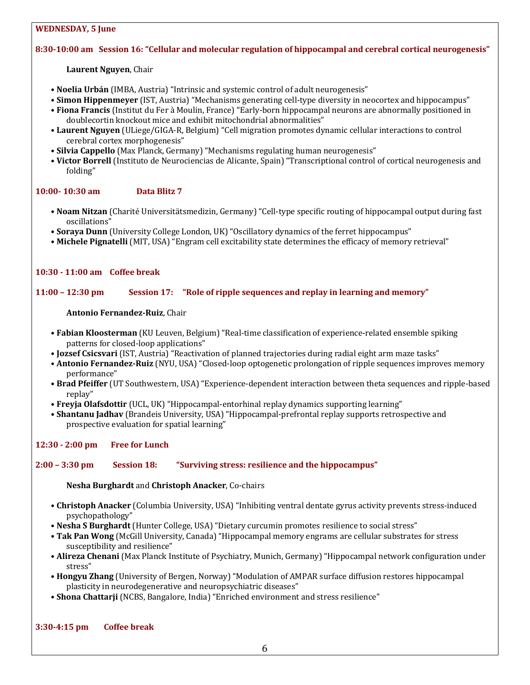#### **WEDNESDAY, 5 June**

## **8:30-10:00 am Session 16: "Cellular and molecular regulation of hippocampal and cerebral cortical neurogenesis"**

**Laurent Nguyen, Chair** 

- Noelia Urbán (IMBA, Austria) "Intrinsic and systemic control of adult neurogenesis"
- **Simon Hippenmeyer** (IST, Austria) "Mechanisms generating cell-type diversity in neocortex and hippocampus"
- Fiona Francis (Institut du Fer à Moulin, France) "Early-born hippocampal neurons are abnormally positioned in doublecortin knockout mice and exhibit mitochondrial abnormalities"
- Laurent Nguyen (ULiege/GIGA-R, Belgium) "Cell migration promotes dynamic cellular interactions to control cerebral cortex morphogenesis"
- **Silvia Cappello** (Max Planck, Germany) "Mechanisms regulating human neurogenesis"
- Victor Borrell (Instituto de Neurociencias de Alicante, Spain) "Transcriptional control of cortical neurogenesis and folding"

## **10:00- 10:30 am Data Blitz 7**

- **Noam Nitzan** (Charité Universitätsmedizin, Germany) "Cell-type specific routing of hippocampal output during fast oscillations"
- **Soraya Dunn** (University College London, UK) "Oscillatory dynamics of the ferret hippocampus"
- Michele Pignatelli (MIT, USA) "Engram cell excitability state determines the efficacy of memory retrieval"

#### **10:30 - 11:00 am Coffee break**

#### **11:00 – 12:30 pm** Session 17: "Role of ripple sequences and replay in learning and memory"

#### **Antonio Fernandez-Ruiz**, Chair

- **Fabian Kloosterman** (KU Leuven, Belgium) "Real-time classification of experience-related ensemble spiking patterns for closed-loop applications"
- **Jozsef Csicsvari** (IST, Austria) "Reactivation of planned trajectories during radial eight arm maze tasks"
- **Antonio Fernandez-Ruiz** (NYU, USA) "Closed-loop optogenetic prolongation of ripple sequences improves memory performance"
- Brad Pfeiffer (UT Southwestern, USA) "Experience-dependent interaction between theta sequences and ripple-based replay"
- **Freyja Olafsdottir** (UCL, UK) "Hippocampal-entorhinal replay dynamics supporting learning"
- Shantanu Jadhav (Brandeis University, USA) "Hippocampal-prefrontal replay supports retrospective and prospective evaluation for spatial learning"

#### **12:30 - 2:00 pm Free for Lunch**

#### **2:00** – 3:30 pm Session 18: "Surviving stress: resilience and the hippocampus"

**Nesha Burghardt** and **Christoph Anacker**, Co-chairs

- Christoph Anacker (Columbia University, USA) "Inhibiting ventral dentate gyrus activity prevents stress-induced psychopathology"
- Nesha S Burghardt (Hunter College, USA) "Dietary curcumin promotes resilience to social stress"
- Tak Pan Wong (McGill University, Canada) "Hippocampal memory engrams are cellular substrates for stress susceptibility and resilience"
- Alireza Chenani (Max Planck Institute of Psychiatry, Munich, Germany) "Hippocampal network configuration under stress"
- **Hongyu Zhang** (University of Bergen, Norway) "Modulation of AMPAR surface diffusion restores hippocampal plasticity in neurodegenerative and neuropsychiatric diseases"
- **Shona Chattarji** (NCBS, Bangalore, India) "Enriched environment and stress resilience"

**3:30-4:15 pm Coffee break**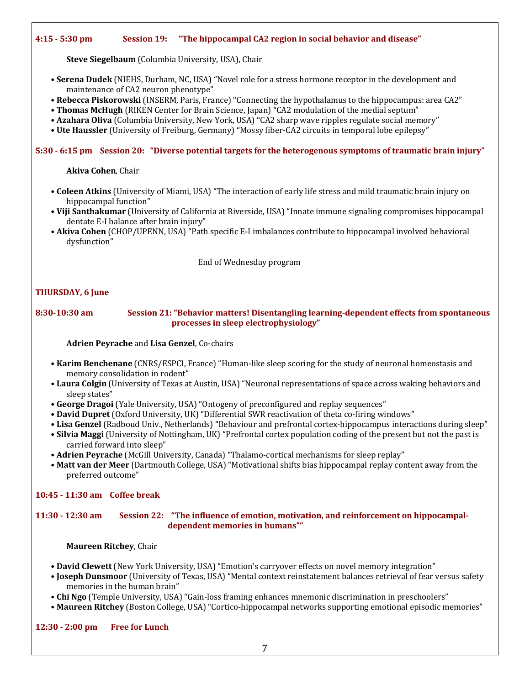#### **4:15 - 5:30 pm Session 19: "The hippocampal CA2 region in social behavior and disease"**

**Steve Siegelbaum** (Columbia University, USA), Chair

- Serena Dudek (NIEHS, Durham, NC, USA) "Novel role for a stress hormone receptor in the development and maintenance of CA2 neuron phenotype"
- Rebecca Piskorowski (INSERM, Paris, France) "Connecting the hypothalamus to the hippocampus: area CA2"
- Thomas McHugh (RIKEN Center for Brain Science, Japan) "CA2 modulation of the medial septum"
- **Azahara Oliva** (Columbia University, New York, USA) "CA2 sharp wave ripples regulate social memory"
- Ute Haussler (University of Freiburg, Germany) "Mossy fiber-CA2 circuits in temporal lobe epilepsy"

#### **5:30 - 6:15 pm Session 20: "Diverse potential targets for the heterogenous symptoms of traumatic brain injury"**

**Akiva Cohen, Chair** 

- **Coleen Atkins** (University of Miami, USA) "The interaction of early life stress and mild traumatic brain injury on hippocampal function"
- Viji Santhakumar (University of California at Riverside, USA) "Innate immune signaling compromises hippocampal dentate E-I balance after brain injury"
- Akiva Cohen (CHOP/UPENN, USA) "Path specific E-I imbalances contribute to hippocampal involved behavioral dysfunction"

End of Wednesday program

#### **THURSDAY, 6 June**

#### **8:30-10:30** am **Session 21: "Behavior matters! Disentangling learning-dependent effects from spontaneous** processes in sleep electrophysiology"

**Adrien Peyrache and Lisa Genzel, Co-chairs** 

- Karim Benchenane (CNRS/ESPCI, France) "Human-like sleep scoring for the study of neuronal homeostasis and memory consolidation in rodent"
- Laura Colgin (University of Texas at Austin, USA) "Neuronal representations of space across waking behaviors and sleep states"
- George Dragoi (Yale University, USA) "Ontogeny of preconfigured and replay sequences"
- David Dupret (Oxford University, UK) "Differential SWR reactivation of theta co-firing windows"
- Lisa Genzel (Radboud Univ., Netherlands) "Behaviour and prefrontal cortex-hippocampus interactions during sleep"
- Silvia Maggi (University of Nottingham, UK) "Prefrontal cortex population coding of the present but not the past is carried forward into sleep"
- **Adrien Peyrache** (McGill University, Canada) "Thalamo-cortical mechanisms for sleep replay"
- Matt van der Meer (Dartmouth College, USA) "Motivational shifts bias hippocampal replay content away from the preferred outcome"

#### **10:45 - 11:30 am Coffee break**

**11:30 - 12:30 am** Session 22: "The influence of emotion, motivation, and reinforcement on hippocampal**dependent memories in humans""**

**Maureen Ritchey**, Chair

- David Clewett (New York University, USA) "Emotion's carryover effects on novel memory integration"
- **Joseph Dunsmoor** (University of Texas, USA) "Mental context reinstatement balances retrieval of fear versus safety memories in the human brain"
- Chi Ngo (Temple University, USA) "Gain-loss framing enhances mnemonic discrimination in preschoolers"
- Maureen Ritchey (Boston College, USA) "Cortico-hippocampal networks supporting emotional episodic memories"

**12:30 - 2:00 pm Free for Lunch**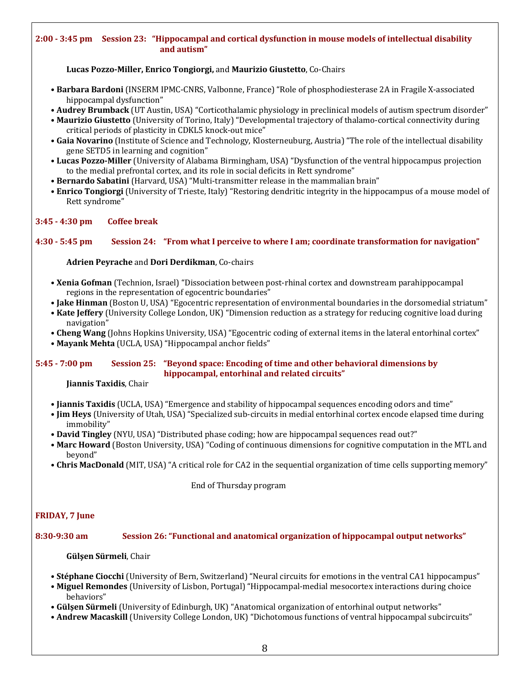#### **2:00 - 3:45 pm Session 23: "Hippocampal and cortical dysfunction in mouse models of intellectual disability and autism"**

**Lucas Pozzo-Miller, Enrico Tongiorgi,** and **Maurizio Giustetto**, Co-Chairs

- Barbara Bardoni (INSERM IPMC-CNRS, Valbonne, France) "Role of phosphodiesterase 2A in Fragile X-associated hippocampal dysfunction"
- **Audrey Brumback** (UT Austin, USA) "Corticothalamic physiology in preclinical models of autism spectrum disorder"
- Maurizio Giustetto (University of Torino, Italy) "Developmental trajectory of thalamo-cortical connectivity during critical periods of plasticity in CDKL5 knock-out mice"
- Gaia Novarino (Institute of Science and Technology, Klosterneuburg, Austria) "The role of the intellectual disability gene SETD5 in learning and cognition"
- Lucas Pozzo-Miller (University of Alabama Birmingham, USA) "Dysfunction of the ventral hippocampus projection to the medial prefrontal cortex, and its role in social deficits in Rett syndrome"
- Bernardo Sabatini (Harvard, USA) "Multi-transmitter release in the mammalian brain"
- **Enrico Tongiorgi** (University of Trieste, Italy) "Restoring dendritic integrity in the hippocampus of a mouse model of Rett syndrome"

#### **3:45 - 4:30 pm Coffee break**

#### **4:30 - 5:45 pm Session 24: "From what I perceive to where I am; coordinate transformation for navigation"**

**Adrien Peyrache and Dori Derdikman, Co-chairs** 

- Xenia Gofman (Technion, Israel) "Dissociation between post-rhinal cortex and downstream parahippocampal regions in the representation of egocentric boundaries"
- Jake Hinman (Boston U, USA) "Egocentric representation of environmental boundaries in the dorsomedial striatum"
- Kate Jeffery (University College London, UK) "Dimension reduction as a strategy for reducing cognitive load during navigation"
- Cheng Wang (Johns Hopkins University, USA) "Egocentric coding of external items in the lateral entorhinal cortex"
- Mayank Mehta (UCLA, USA) "Hippocampal anchor fields"

#### **5:45 - 7:00 pm** Session 25: "Beyond space: Encoding of time and other behavioral dimensions by **hippocampal, entorhinal and related circuits"**

**Jiannis Taxidis**, Chair

- **Jiannis Taxidis** (UCLA, USA) "Emergence and stability of hippocampal sequences encoding odors and time"
- **Jim Heys** (University of Utah, USA) "Specialized sub-circuits in medial entorhinal cortex encode elapsed time during immobility"
- **David Tingley** (NYU, USA) "Distributed phase coding; how are hippocampal sequences read out?"
- Marc Howard (Boston University, USA) "Coding of continuous dimensions for cognitive computation in the MTL and beyond"
- Chris MacDonald (MIT, USA) "A critical role for CA2 in the sequential organization of time cells supporting memory"

End of Thursday program

## **FRIDAY, 7 June**

#### **8:30-9:30 am Session 26: "Functional and anatomical organization of hippocampal output networks"**

#### **Gülşen Sürmeli**, Chair

- Stéphane Ciocchi (University of Bern, Switzerland) "Neural circuits for emotions in the ventral CA1 hippocampus"
- **Miguel Remondes** (University of Lisbon, Portugal) "Hippocampal-medial mesocortex interactions during choice behaviors"
- Gülsen Sürmeli (University of Edinburgh, UK) "Anatomical organization of entorhinal output networks"
- **Andrew Macaskill** (University College London, UK) "Dichotomous functions of ventral hippocampal subcircuits"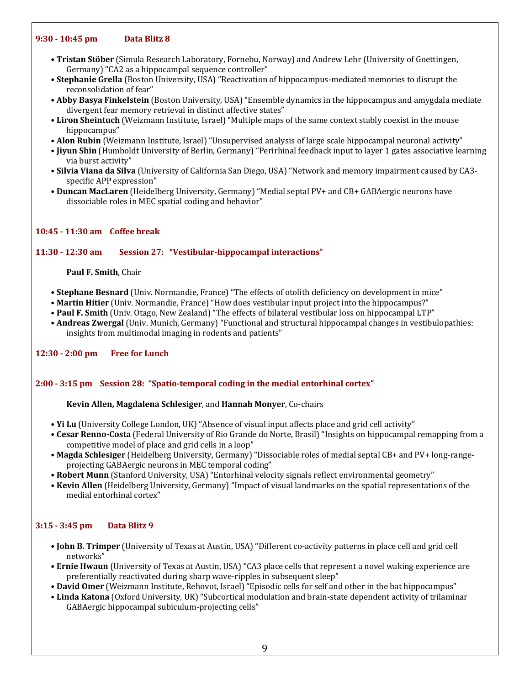#### **9:30 - 10:45 pm Data Blitz 8**

- **Tristan Stöber** (Simula Research Laboratory, Fornebu, Norway) and Andrew Lehr (University of Goettingen, Germany) "CA2 as a hippocampal sequence controller"
- Stephanie Grella (Boston University, USA) "Reactivation of hippocampus-mediated memories to disrupt the reconsolidation of fear"
- Abby Basya Finkelstein (Boston University, USA) "Ensemble dynamics in the hippocampus and amygdala mediate divergent fear memory retrieval in distinct affective states"
- Liron Sheintuch (Weizmann Institute, Israel) "Multiple maps of the same context stably coexist in the mouse hippocampus"
- **Alon Rubin** (Weizmann Institute, Israel) "Unsupervised analysis of large scale hippocampal neuronal activity"
- **Jiyun Shin** (Humboldt University of Berlin, Germany) "Perirhinal feedback input to layer 1 gates associative learning via burst activity"
- Silvia Viana da Silva (University of California San Diego, USA) "Network and memory impairment caused by CA3specific APP expression"
- **Duncan MacLaren** (Heidelberg University, Germany) "Medial septal PV+ and CB+ GABAergic neurons have dissociable roles in MEC spatial coding and behavior"

## **10:45 - 11:30 am Coffee break**

## **11:30 - 12:30 am Session 27: "Vestibular-hippocampal interactions"**

#### **Paul F. Smith, Chair**

- Stephane Besnard (Univ. Normandie, France) "The effects of otolith deficiency on development in mice"
- **Martin Hitier** (Univ. Normandie, France) "How does vestibular input project into the hippocampus?"
- **Paul F. Smith** (Univ. Otago, New Zealand) "The effects of bilateral vestibular loss on hippocampal LTP"
- **Andreas Zwergal** (Univ. Munich, Germany) "Functional and structural hippocampal changes in vestibulopathies: insights from multimodal imaging in rodents and patients"

## **12:30 - 2:00 pm Free for Lunch**

## **2:00** - 3:15 pm Session 28: "Spatio-temporal coding in the medial entorhinal cortex"

## **Kevin Allen, Magdalena Schlesiger**, and **Hannah Monyer**, Co-chairs

- **Yi Lu** (University College London, UK) "Absence of visual input affects place and grid cell activity"
- **Cesar Renno-Costa** (Federal University of Rio Grande do Norte, Brasil) "Insights on hippocampal remapping from a competitive model of place and grid cells in a loop"
- Magda Schlesiger (Heidelberg University, Germany) "Dissociable roles of medial septal CB+ and PV+ long-rangeprojecting GABAergic neurons in MEC temporal coding"
- Robert Munn (Stanford University, USA) "Entorhinal velocity signals reflect environmental geometry"
- Kevin Allen (Heidelberg University, Germany) "Impact of visual landmarks on the spatial representations of the medial entorhinal cortex"

## **3:15 - 3:45 pm Data Blitz 9**

- **John B. Trimper** (University of Texas at Austin, USA) "Different co-activity patterns in place cell and grid cell networks"
- **Ernie Hwaun** (University of Texas at Austin, USA) "CA3 place cells that represent a novel waking experience are preferentially reactivated during sharp wave-ripples in subsequent sleep"
- **David Omer** (Weizmann Institute, Rehovot, Israel) "Episodic cells for self and other in the bat hippocampus"
- Linda Katona (Oxford University, UK) "Subcortical modulation and brain-state dependent activity of trilaminar GABAergic hippocampal subiculum-projecting cells"